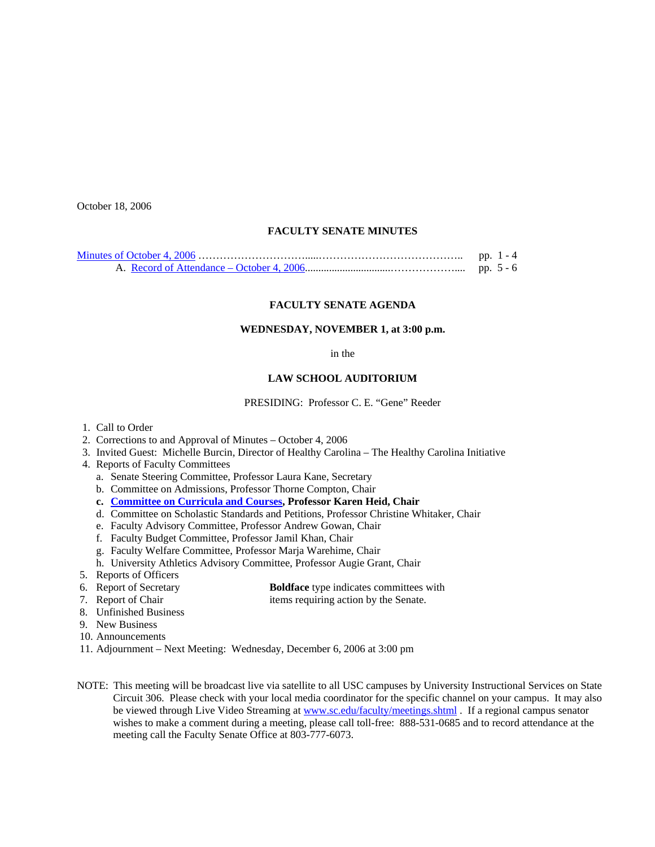October 18, 2006

## **FACULTY SENATE MINUTES**

| pp. $1 - 4$ |
|-------------|
|             |

### **FACULTY SENATE AGENDA**

#### **WEDNESDAY, NOVEMBER 1, at 3:00 p.m.**

### in the

### **LAW SCHOOL AUDITORIUM**

PRESIDING: Professor C. E. "Gene" Reeder

- 1. Call to Order
- 2. Corrections to and Approval of Minutes October 4, 2006
- 3. Invited Guest: Michelle Burcin, Director of Healthy Carolina The Healthy Carolina Initiative
- 4. Reports of Faculty Committees
	- a. Senate Steering Committee, Professor Laura Kane, Secretary
	- b. Committee on Admissions, Professor Thorne Compton, Chair
	- **c. [Committee on Curricula and Courses](http://www.sc.edu/faculty/senate/06/agenda/1101.cc.pdf), Professor Karen Heid, Chair**
	- d. Committee on Scholastic Standards and Petitions, Professor Christine Whitaker, Chair
	- e. Faculty Advisory Committee, Professor Andrew Gowan, Chair
	- f. Faculty Budget Committee, Professor Jamil Khan, Chair
	- g. Faculty Welfare Committee, Professor Marja Warehime, Chair
	- h. University Athletics Advisory Committee, Professor Augie Grant, Chair
- 5. Reports of Officers<br>6. Report of Secretary
- 
- 6. Report of Secretary **Boldface** type indicates committees with<br> **Boldface** type indicates committees with<br> **Boldface** type indicates committees with<br> **Boldface** type indicates committees with items requiring action by the Senate.
- 8. Unfinished Business
- 9. New Business
- 10. Announcements
- 11. Adjournment Next Meeting: Wednesday, December 6, 2006 at 3:00 pm
- NOTE: This meeting will be broadcast live via satellite to all USC campuses by University Instructional Services on State Circuit 306. Please check with your local media coordinator for the specific channel on your campus. It may also be viewed through Live Video Streaming at [www.sc.edu/faculty/meetings.shtml](http://www.sc.edu/faculty/meetings.shtml) . If a regional campus senator wishes to make a comment during a meeting, please call toll-free: 888-531-0685 and to record attendance at the meeting call the Faculty Senate Office at 803-777-6073.